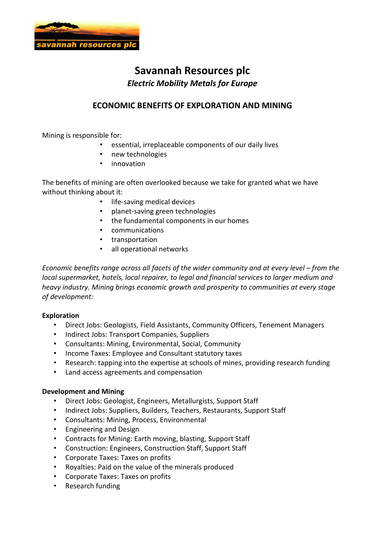

## **Savannah Resources plc** *Electric Mobility Metals for Europe*

## **ECONOMIC BENEFITS OF EXPLORATION AND MINING**

Mining is responsible for:

- essential, irreplaceable components of our daily lives
- new technologies
- innovation

The benefits of mining are often overlooked because we take for granted what we have without thinking about it:

- life-saving medical devices
- planet-saving green technologies
- the fundamental components in our homes
- communications
- transportation
- all operational networks

*Economic benefits range across all facets of the wider community and at every level – from the local supermarket, hotels, local repairer, to legal and financial services to larger medium and heavy industry. Mining brings economic growth and prosperity to communities at every stage of development:* 

## **Exploration**

- Direct Jobs: Geologists, Field Assistants, Community Officers, Tenement Managers
- Indirect Jobs: Transport Companies, Suppliers
- Consultants: Mining, Environmental, Social, Community
- Income Taxes: Employee and Consultant statutory taxes
- Research: tapping into the expertise at schools of mines, providing research funding
- Land access agreements and compensation

## **Development and Mining**

- Direct Jobs: Geologist, Engineers, Metallurgists, Support Staff
- Indirect Jobs: Suppliers, Builders, Teachers, Restaurants, Support Staff
- Consultants: Mining, Process, Environmental
- Engineering and Design
- Contracts for Mining: Earth moving, blasting, Support Staff
- Construction: Engineers, Construction Staff, Support Staff
- Corporate Taxes: Taxes on profits
- Royalties: Paid on the value of the minerals produced
- Corporate Taxes: Taxes on profits
- Research funding